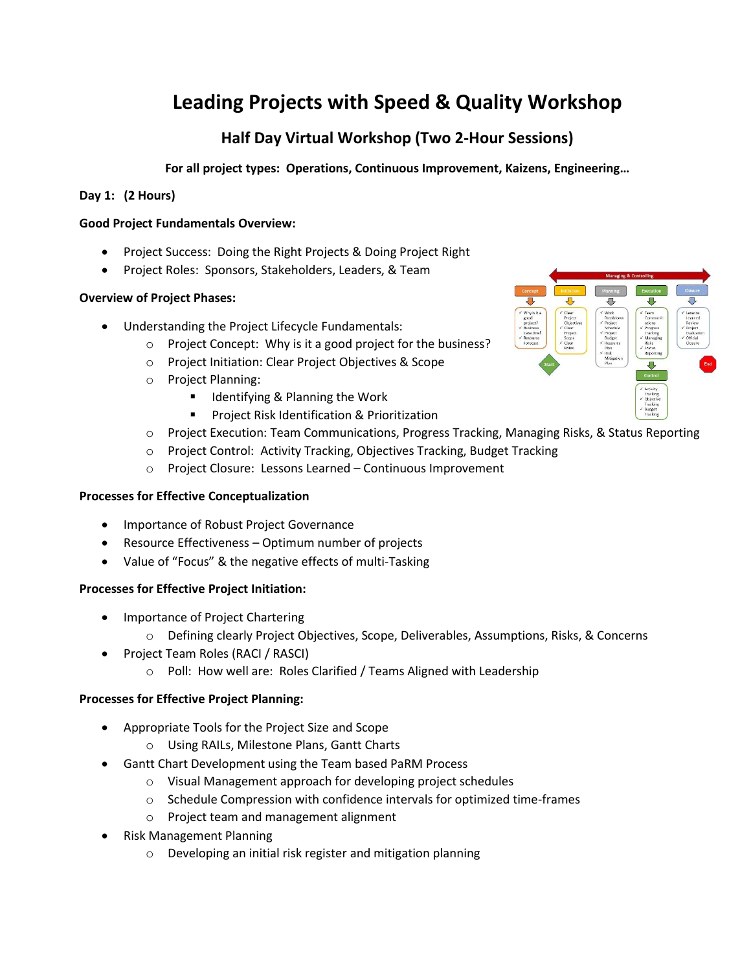# **Leading Projects with Speed & Quality Workshop**

# **Half Day Virtual Workshop (Two 2-Hour Sessions)**

**For all project types: Operations, Continuous Improvement, Kaizens, Engineering…**

# **Day 1: (2 Hours)**

#### **Good Project Fundamentals Overview:**

- Project Success: Doing the Right Projects & Doing Project Right
- Project Roles: Sponsors, Stakeholders, Leaders, & Team

# **Overview of Project Phases:**

- Understanding the Project Lifecycle Fundamentals:
	- o Project Concept: Why is it a good project for the business?
	- o Project Initiation: Clear Project Objectives & Scope
	- o Project Planning:
		- Identifying & Planning the Work
			- Project Risk Identification & Prioritization
	- o Project Execution: Team Communications, Progress Tracking, Managing Risks, & Status Reporting
	- o Project Control: Activity Tracking, Objectives Tracking, Budget Tracking
	- o Project Closure: Lessons Learned Continuous Improvement

#### **Processes for Effective Conceptualization**

- Importance of Robust Project Governance
- Resource Effectiveness Optimum number of projects
- Value of "Focus" & the negative effects of multi-Tasking

#### **Processes for Effective Project Initiation:**

- Importance of Project Chartering
	- o Defining clearly Project Objectives, Scope, Deliverables, Assumptions, Risks, & Concerns
- Project Team Roles (RACI / RASCI)
	- o Poll: How well are: Roles Clarified / Teams Aligned with Leadership

#### **Processes for Effective Project Planning:**

- Appropriate Tools for the Project Size and Scope
	- o Using RAILs, Milestone Plans, Gantt Charts
- Gantt Chart Development using the Team based PaRM Process
	- o Visual Management approach for developing project schedules
	- o Schedule Compression with confidence intervals for optimized time-frames
	- o Project team and management alignment
- Risk Management Planning
	- o Developing an initial risk register and mitigation planning